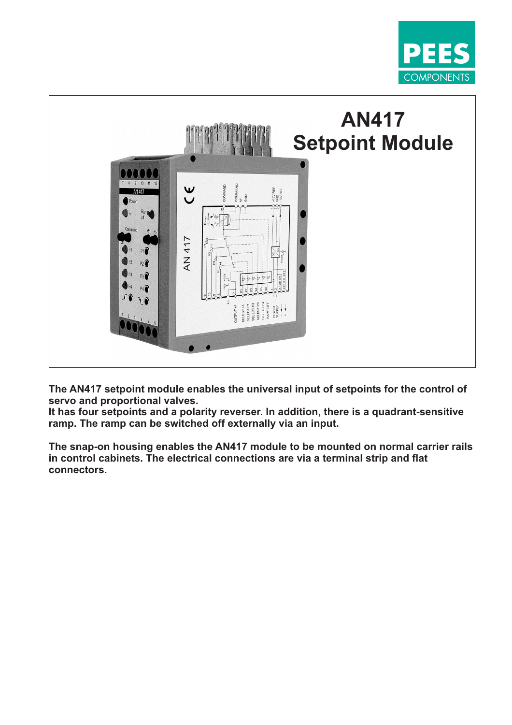



**The AN417 setpoint module enables the universal input of setpoints for the control of servo and proportional valves.**

**It has four setpoints and a polarity reverser. In addition, there is a quadrant-sensitive ramp. The ramp can be switched off externally via an input.**

**The snap-on housing enables the AN417 module to be mounted on normal carrier rails in control cabinets. The electrical connections are via a terminal strip and flat connectors.**